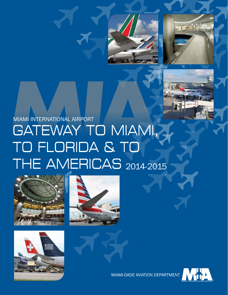



# MIAMI INTERNATIONAL AIRPORT<br>GATEWAY TO MIAMI, TO FLORIDA & TO **THE AMERICAS 2014-2015**









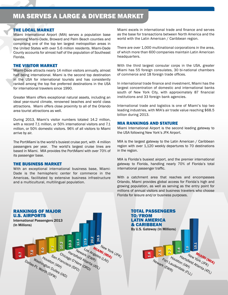# MIA SERVES A LARGE & DIVERSE MARKET

#### THE LOCAL MARKET

Miami International Airport (MIA) serves a population base spanning Miami-Dade, Broward and Palm Beach counties and comprising one of the top ten largest metropolitan areas in the United States with over 5.6 million residents. Miami-Dade County accounts for almost half of the population of Southeast Florida.

#### THE VISITOR MARKET

Miami-Dade attracts nearly 14 million visitors annually, almost half being international. Miami is the second top destination in the USA for international tourists and has consistently ranked among the top five preferred destinations in the USA for international travelers since 1990.

Greater Miami offers exceptional natural assets, including an ideal year-round climate, renowned beaches and world class attractions. Miami offers close proximity to all of the Orlando area tourist attractions as well.

During 2013, Miami's visitor numbers totaled 14.2 million, with a record 7.1 million, or 50% international visitors and 7.1 million, or 50% domestic visitors. 96% of all visitors to Miami arrive by air.

The Port*Miami* is the world's busiest cruise port, with 4 million passengers per year. The world's largest cruise lines are based in Miami. MIA provides the Port*Miami* with over 70% of its passenger base.

#### THE BUSINESS MARKET

With an exceptional international business base, Miami-Dade is the hemispheric center for commerce in the Americas, facilitated by extensive business infrastructure and a multicultural, multilingual population.

Miami excels in international trade and finance and serves as the base for transactions between North America and the world with the Latin American / Caribbean region.

There are over 1,000 multinational corporations in the area, of which more than 600 companies maintain Latin American headquarters.

With the third largest consular corps in the USA, greater Miami has 55 foreign consulates, 30 bi-national chambers of commerce and 18 foreign trade offices.

In international trade finance and investment, Miami has the largest concentration of domestic and international banks south of New York City, with approximately 87 financial institutions and 33 foreign bank agencies.

International trade and logistics is one of Miami's top two leading industries, with MIA's air trade value reaching \$68.5 billion during 2013.

#### MIA RANKINGS AND STATURE

Miami International Airport is the second leading gateway to the USA following New York's JFK Airport.

MIA is the largest gateway to the Latin American / Caribbean region with over 1,120 weekly departures to 70 destinations in the region.

MIA is Florida's busiest airport, and the premier international gateway to Florida, handling nearly 70% of Florida's total international passenger traffic.

With a catchment area that reaches and encompasses Orlando, Miami provides global access for Florida's high and growing population, as well as serving as the entry point for millions of annual visitors and business travelers who choose Florida for leisure and/or business purposes.



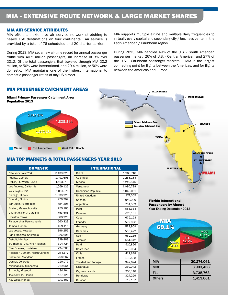# MIA - EXTENSIVE ROUTE NETWORK & LARGE MARKET SHARES

#### MIA AIR SERVICE ATTRIBUTES

MIA offers an extensive air service network stretching to nearly 150 destinations on four continents. Air service is provided by a total of 76 scheduled and 20 charter carriers.

During 2013, MIA set a new all-time record for annual passenger traffic with 40.5 million passengers, an increase of 3% over 2012. Of the total passengers that traveled through MIA 20.2 million, or 50% were international, and 20.4 million, or 50% were domestic. MIA maintains one of the highest international to domestic passenger ratios of any US airport.

MIA supports multiple airline and multiple daily frequencies to virtually every capital and secondary city / business center in the Latin American / Caribbean region.

During 2013, MIA handled 49% of the U.S. - South American passenger market, 26% of U.S. - Central American and 27% of the U.S. - Caribbean passenger markets. MIA is the largest connecting point for flights between the Americas, and for flights between the Americas and Europe.

TALLAHASSEE

**TAMPA** 

JACKSONVILLE

ORLANDO

WEST PALM BEACH FT. LAUDERDALE

MIAMI

**Condary Catchment Area** 

### MIA PASSENGER CATCHMENT AREAS



#### MIA TOP MARKETS & TOTAL PASSENGERS YEAR 2013

| <b>DOMESTIC</b>                  |           |  |
|----------------------------------|-----------|--|
| <b>New York, New York</b>        | 3,139,328 |  |
| Atlanta, Georgia                 | 1,491,606 |  |
| Dallas/Ft. Worth, Texas          | 1,103,819 |  |
| Los Angeles, California          | 1,069,126 |  |
| Washington, DC                   | 1,051,076 |  |
| Chicago, Illinois                | 1,039,223 |  |
| Orlando, Florida                 | 978,909   |  |
| San Juan, Puerto Rico            | 784,305   |  |
| <b>Boston, Massachusetts</b>     | 755,185   |  |
| Charlotte, North Carolina        | 753,566   |  |
| Houston, Texas                   | 688,220   |  |
| Philadelphia, Pennsylvania       | 560,323   |  |
| Tampa, Florida                   | 499.111   |  |
| Las Vegas, Nevada                | 396,255   |  |
| San Francisco, California        | 376,696   |  |
| Detroit, Michigan                | 329,888   |  |
| St. Thomas, U.S. Virgin Islands  | 324,724   |  |
| New Orleans, Louisiana           | 294.563   |  |
| Raleigh / Durham, North Carolina | 264,177   |  |
| <b>Baltimore, Maryland</b>       | 250,562   |  |
| Denver, Colorado                 | 220,079   |  |
| Minneapolis, Minnesota           | 219,064   |  |
| St. Louis, Missouri              | 194.164   |  |
| Jacksonville, Florida            | 157,126   |  |
| <b>Key West, Florida</b>         | 141,857   |  |

| <b>INTERNATIONAL</b>       |           |  |
|----------------------------|-----------|--|
| <b>Brazil</b>              | 1,963,718 |  |
| Colombia                   | 1.258.184 |  |
| Mexico                     | 1,249,545 |  |
| Venezuela                  | 1,080,738 |  |
| <b>Dominican Republic</b>  | 1,049,061 |  |
| <b>United Kingdom</b>      | 974,569   |  |
| Canada                     | 840,020   |  |
| Argentina                  | 764,569   |  |
| Peru                       | 688,334   |  |
| Panama                     | 678,181   |  |
| Cuba                       | 672,123   |  |
| Ecuador                    | 592,096   |  |
| Germany                    | 579,959   |  |
| <b>Bahamas</b>             | 566,422   |  |
| Spain                      | 562,155   |  |
| Jamaica                    | 551,642   |  |
| Haiti                      | 510,866   |  |
| Costa Rica                 | 496,054   |  |
| Chile                      | 411,848   |  |
| <b>France</b>              | 402,538   |  |
| <b>Trinidad and Tobago</b> | 342,924   |  |
| Nicaragua                  | 339,942   |  |
| <b>Cayman Islands</b>      | 335,148   |  |
| <b>Honduras</b>            | 324,229   |  |
| Curacao                    | 319,187   |  |

Florida International Passengers by Airport Year Ending December 2013

FT. MYERS



| MIA           | 20,274,061 |
|---------------|------------|
| MCO           | 3,903,438  |
| FLL           | 3,735,763  |
| <b>Others</b> | 1,413,661  |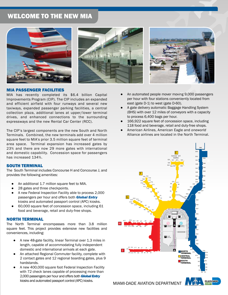# WELCOME TO THE NEW MIA







#### MIA PASSENGER FACILITIES

MIA has recently completed its \$6.4 billion Capital Improvements Program (CIP). The CIP includes an expanded and efficient airfield with four runways and several new taxiways, expanded passenger parking facilities, a central collection plaza, additional lanes at upper/lower terminal drives, and enhanced connections to the surrounding expressways and the new Rental Car Center (RCC).

The CIP's largest components are the new South and North Terminals. Combined, the new terminals add over 4 million square feet to MIA's prior 3.5 million square feet of terminal area space. Terminal expansion has increased gates by 23% and there are now 29 more gates with international and domestic capability. Concession space for passengers has increased 134%.

#### SOUTH TERMINAL

The South Terminal includes Concourse H and Concourse J, and provides the following amenities:

- An additional 1.7 million square feet to MIA.
- 28 gates and three checkpoints.
- A new Federal Inspection Facility able to process 2,000 passengers per hour and offers both *Global Entry* kiosks and automated passport control (APC) kiosks.
- 60,000 square feet of concession space, including 61 food and beverage, retail and duty-free shops.

#### NORTH TERMINAL

The North Terminal encompasses more than 3.8 million square feet. This project provides extensive new facilities and conveniences, including:

- A new 48-gate facility, linear Terminal over 1.3 miles in length, capable of accommodating fully independent domestic and international arrivals at each gate.
- An attached Regional Commuter facility, complete with 2 contact gates and 12 regional boarding gates, plus 9 hardstands.
- A new 400,000 square foot Federal Inspection Facility with 72 check lanes capable of processing more than 2,000 passengers per hour and offers both *Global Entry* kiosks and automated passport control (APC) kiosks.
- An automated people mover moving 9,000 passengers per hour with four stations conveniently located from east (gate D-1) to west (gate D-60).
- A gate delivery automatic Baggage Handling System (BHS) with over 12 miles of conveyors with a capacity to process 6,400 bags per hour.
- 166,922 square feet of concession space, including 118 food and beverage, retail and duty-free shops.
- American Airlines, American Eagle and *oneworld* Alliance airlines are located in the North Terminal.



MIAMI-DADE AVIATION DEPARTMENT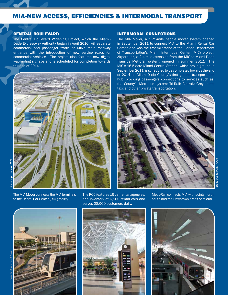## MIA-NEW ACCESS, EFFICIENCIES & INTERMODAL TRANSPORT

#### CENTRAL BOULEVARD

The Central Boulevard Widening Project, which the Miami-Dade Expressway Authority began in April 2010, will separate commercial and passenger traffic at MIA's main roadway entrance with the introduction of new service roads for commercial vehicles. The project also features new digital way-finding signage and is scheduled for completion towards the end of 2014.



The MIA Mover connects the MIA terminals to the Rental Car Center (RCC) facility.

#### The RCC features 16 car rental agencies, and inventory of 6,500 rental cars and serves 28,000 customers daily.

#### INTERMODAL CONNECTIONS

The MIA Mover, a 1.25-mile people mover system opened in September 2011 to connect MIA to the Miami Rental Car Center, and was the first milestone of the Florida Department of Transportation's Miami Intermodal Center (MIC) project. AirportLink, a 2.4-mile extension from the MIC to Miami-Dade Transit's Metrorail system, opened in summer 2012. The MIC's 16.5-acre Miami Central Station, which broke ground in September 2011, is scheduled to be completed towards the end of 2014 as Miami-Dade County's first ground transportation hub, providing passengers connections to services such as: the County's Metrobus system; Tri-Rail; Amtrak; Greyhound; taxi; and other private transportation.





MetroRail connects MIA with points north, south and the Downtown areas of Miami.